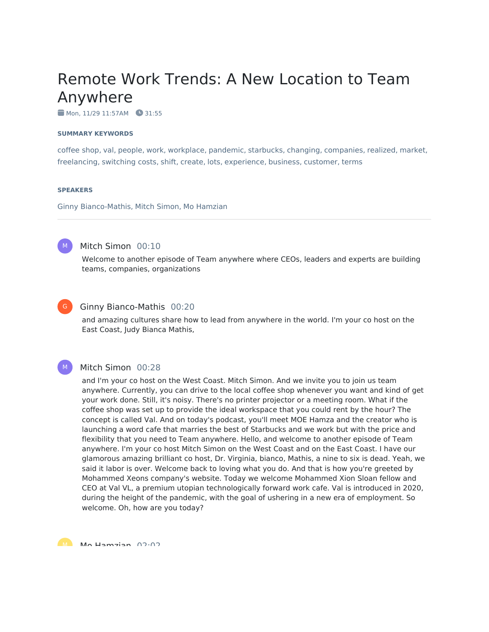# Remote Work Trends: A New Location to Team Anywhere

Mon, 11/29 11:57AM 31:55

#### **SUMMARY KEYWORDS**

coffee shop, val, people, work, workplace, pandemic, starbucks, changing, companies, realized, market, freelancing, switching costs, shift, create, lots, experience, business, customer, terms

#### **SPEAKERS**

Ginny Bianco-Mathis, Mitch Simon, Mo Hamzian



# Mitch Simon 00:10

Welcome to another episode of Team anywhere where CEOs, leaders and experts are building teams, companies, organizations



 $M_{\odot}$ 

# Ginny Bianco-Mathis 00:20

and amazing cultures share how to lead from anywhere in the world. I'm your co host on the East Coast, Judy Bianca Mathis,

#### Mitch Simon 00:28

and I'm your co host on the West Coast. Mitch Simon. And we invite you to join us team anywhere. Currently, you can drive to the local coffee shop whenever you want and kind of get your work done. Still, it's noisy. There's no printer projector or a meeting room. What if the coffee shop was set up to provide the ideal workspace that you could rent by the hour? The concept is called Val. And on today's podcast, you'll meet MOE Hamza and the creator who is launching a word cafe that marries the best of Starbucks and we work but with the price and flexibility that you need to Team anywhere. Hello, and welcome to another episode of Team anywhere. I'm your co host Mitch Simon on the West Coast and on the East Coast. I have our glamorous amazing brilliant co host, Dr. Virginia, bianco, Mathis, a nine to six is dead. Yeah, we said it labor is over. Welcome back to loving what you do. And that is how you're greeted by Mohammed Xeons company's website. Today we welcome Mohammed Xion Sloan fellow and CEO at Val VL, a premium utopian technologically forward work cafe. Val is introduced in 2020, during the height of the pandemic, with the goal of ushering in a new era of employment. So welcome. Oh, how are you today?

M<sub>a</sub> Ma Hamzian 02.02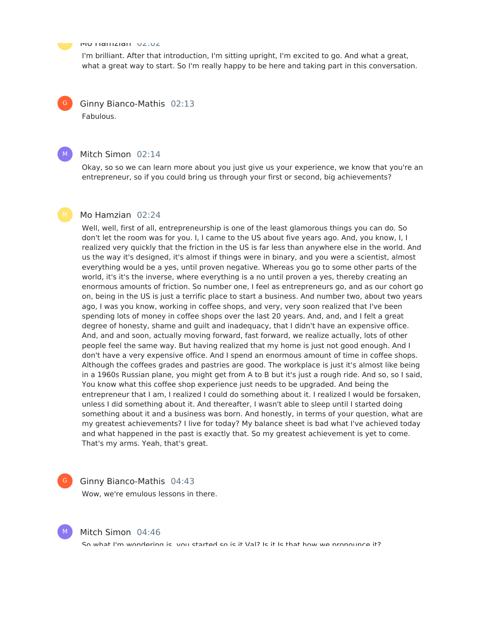

 $G$ 

 $M_{\odot}$ 

#### Mo Hamzian 02:02

I'm brilliant. After that introduction, I'm sitting upright, I'm excited to go. And what a great, what a great way to start. So I'm really happy to be here and taking part in this conversation.

Ginny Bianco-Mathis 02:13 Fabulous.

# Mitch Simon 02:14

Okay, so so we can learn more about you just give us your experience, we know that you're an entrepreneur, so if you could bring us through your first or second, big achievements?

### Mo Hamzian 02:24

Well, well, first of all, entrepreneurship is one of the least glamorous things you can do. So don't let the room was for you. I, I came to the US about five years ago. And, you know, I, I realized very quickly that the friction in the US is far less than anywhere else in the world. And us the way it's designed, it's almost if things were in binary, and you were a scientist, almost everything would be a yes, until proven negative. Whereas you go to some other parts of the world, it's it's the inverse, where everything is a no until proven a yes, thereby creating an enormous amounts of friction. So number one, I feel as entrepreneurs go, and as our cohort go on, being in the US is just a terrific place to start a business. And number two, about two years ago, I was you know, working in coffee shops, and very, very soon realized that I've been spending lots of money in coffee shops over the last 20 years. And, and, and I felt a great degree of honesty, shame and guilt and inadequacy, that I didn't have an expensive office. And, and and soon, actually moving forward, fast forward, we realize actually, lots of other people feel the same way. But having realized that my home is just not good enough. And I don't have a very expensive office. And I spend an enormous amount of time in coffee shops. Although the coffees grades and pastries are good. The workplace is just it's almost like being in a 1960s Russian plane, you might get from A to B but it's just a rough ride. And so, so I said, You know what this coffee shop experience just needs to be upgraded. And being the entrepreneur that I am, I realized I could do something about it. I realized I would be forsaken, unless I did something about it. And thereafter, I wasn't able to sleep until I started doing something about it and a business was born. And honestly, in terms of your question, what are my greatest achievements? I live for today? My balance sheet is bad what I've achieved today and what happened in the past is exactly that. So my greatest achievement is yet to come. That's my arms. Yeah, that's great.

# $\mathsf{G}^-$

#### Ginny Bianco-Mathis 04:43

Wow, we're emulous lessons in there.



#### Mitch Simon 04:46

So what I'm wondering is, you started so is it Val? Is it Is that how we propounce it?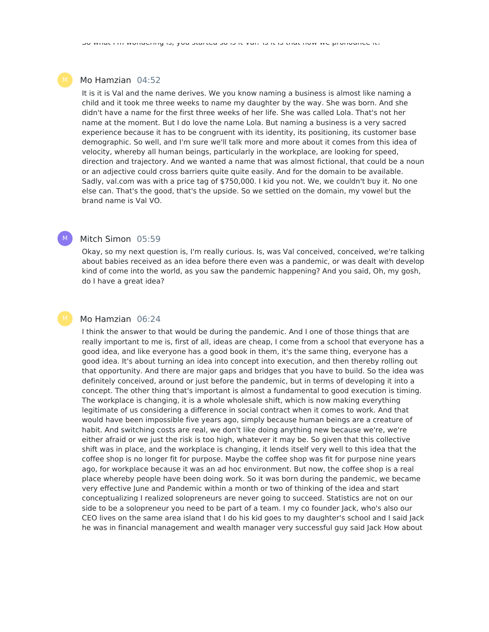# Mo Hamzian 04:52

It is it is Val and the name derives. We you know naming a business is almost like naming a child and it took me three weeks to name my daughter by the way. She was born. And she didn't have a name for the first three weeks of her life. She was called Lola. That's not her name at the moment. But I do love the name Lola. But naming a business is a very sacred experience because it has to be congruent with its identity, its positioning, its customer base demographic. So well, and I'm sure we'll talk more and more about it comes from this idea of velocity, whereby all human beings, particularly in the workplace, are looking for speed, direction and trajectory. And we wanted a name that was almost fictional, that could be a noun or an adjective could cross barriers quite quite easily. And for the domain to be available. Sadly, val.com was with a price tag of \$750,000. I kid you not. We, we couldn't buy it. No one else can. That's the good, that's the upside. So we settled on the domain, my vowel but the brand name is Val VO.

# Mitch Simon 05:59

 $M_{\odot}$ 

Okay, so my next question is, I'm really curious. Is, was Val conceived, conceived, we're talking about babies received as an idea before there even was a pandemic, or was dealt with develop kind of come into the world, as you saw the pandemic happening? And you said, Oh, my gosh, do I have a great idea?

#### Mo Hamzian 06:24

I think the answer to that would be during the pandemic. And I one of those things that are really important to me is, first of all, ideas are cheap, I come from a school that everyone has a good idea, and like everyone has a good book in them, it's the same thing, everyone has a good idea. It's about turning an idea into concept into execution, and then thereby rolling out that opportunity. And there are major gaps and bridges that you have to build. So the idea was definitely conceived, around or just before the pandemic, but in terms of developing it into a concept. The other thing that's important is almost a fundamental to good execution is timing. The workplace is changing, it is a whole wholesale shift, which is now making everything legitimate of us considering a difference in social contract when it comes to work. And that would have been impossible five years ago, simply because human beings are a creature of habit. And switching costs are real, we don't like doing anything new because we're, we're either afraid or we just the risk is too high, whatever it may be. So given that this collective shift was in place, and the workplace is changing, it lends itself very well to this idea that the coffee shop is no longer fit for purpose. Maybe the coffee shop was fit for purpose nine years ago, for workplace because it was an ad hoc environment. But now, the coffee shop is a real place whereby people have been doing work. So it was born during the pandemic, we became very effective June and Pandemic within a month or two of thinking of the idea and start conceptualizing I realized solopreneurs are never going to succeed. Statistics are not on our side to be a solopreneur you need to be part of a team. I my co founder Jack, who's also our CEO lives on the same area island that I do his kid goes to my daughter's school and I said Jack he was in financial management and wealth manager very successful guy said Jack How about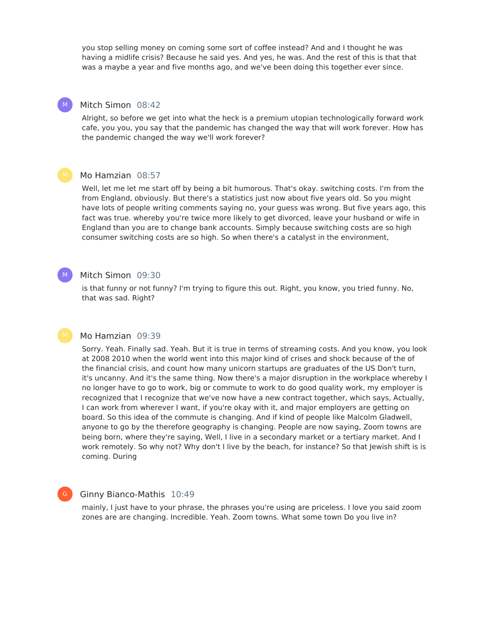you stop selling money on coming some sort of coffee instead? And and I thought he was having a midlife crisis? Because he said yes. And yes, he was. And the rest of this is that that was a maybe a year and five months ago, and we've been doing this together ever since.

# Mitch Simon 08:42

M

 $M_{\odot}$ 

G

Alright, so before we get into what the heck is a premium utopian technologically forward work cafe, you you, you say that the pandemic has changed the way that will work forever. How has the pandemic changed the way we'll work forever?

# Mo Hamzian 08:57

Well, let me let me start off by being a bit humorous. That's okay. switching costs. I'm from the from England, obviously. But there's a statistics just now about five years old. So you might have lots of people writing comments saying no, your guess was wrong. But five years ago, this fact was true. whereby you're twice more likely to get divorced, leave your husband or wife in England than you are to change bank accounts. Simply because switching costs are so high consumer switching costs are so high. So when there's a catalyst in the environment,

#### Mitch Simon 09:30

is that funny or not funny? I'm trying to figure this out. Right, you know, you tried funny. No, that was sad. Right?

#### Mo Hamzian 09:39

Sorry. Yeah. Finally sad. Yeah. But it is true in terms of streaming costs. And you know, you look at 2008 2010 when the world went into this major kind of crises and shock because of the of the financial crisis, and count how many unicorn startups are graduates of the US Don't turn, it's uncanny. And it's the same thing. Now there's a major disruption in the workplace whereby I no longer have to go to work, big or commute to work to do good quality work, my employer is recognized that I recognize that we've now have a new contract together, which says, Actually, I can work from wherever I want, if you're okay with it, and major employers are getting on board. So this idea of the commute is changing. And if kind of people like Malcolm Gladwell, anyone to go by the therefore geography is changing. People are now saying, Zoom towns are being born, where they're saying, Well, I live in a secondary market or a tertiary market. And I work remotely. So why not? Why don't I live by the beach, for instance? So that Jewish shift is is coming. During

#### Ginny Bianco-Mathis 10:49

mainly, I just have to your phrase, the phrases you're using are priceless. I love you said zoom zones are are changing. Incredible. Yeah. Zoom towns. What some town Do you live in?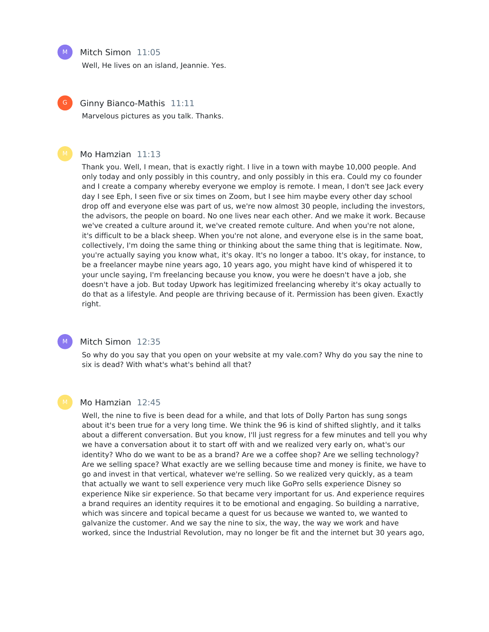#### Mitch Simon 11:05

Well, He lives on an island, Jeannie. Yes.



Ginny Bianco-Mathis 11:11

Marvelous pictures as you talk. Thanks.

#### Mo Hamzian 11:13

Thank you. Well, I mean, that is exactly right. I live in a town with maybe 10,000 people. And only today and only possibly in this country, and only possibly in this era. Could my co founder and I create a company whereby everyone we employ is remote. I mean, I don't see Jack every day I see Eph, I seen five or six times on Zoom, but I see him maybe every other day school drop off and everyone else was part of us, we're now almost 30 people, including the investors, the advisors, the people on board. No one lives near each other. And we make it work. Because we've created a culture around it, we've created remote culture. And when you're not alone, it's difficult to be a black sheep. When you're not alone, and everyone else is in the same boat, collectively, I'm doing the same thing or thinking about the same thing that is legitimate. Now, you're actually saying you know what, it's okay. It's no longer a taboo. It's okay, for instance, to be a freelancer maybe nine years ago, 10 years ago, you might have kind of whispered it to your uncle saying, I'm freelancing because you know, you were he doesn't have a job, she doesn't have a job. But today Upwork has legitimized freelancing whereby it's okay actually to do that as a lifestyle. And people are thriving because of it. Permission has been given. Exactly right.



# Mitch Simon 12:35

So why do you say that you open on your website at my vale.com? Why do you say the nine to six is dead? With what's what's behind all that?

#### Mo Hamzian 12:45

Well, the nine to five is been dead for a while, and that lots of Dolly Parton has sung songs about it's been true for a very long time. We think the 96 is kind of shifted slightly, and it talks about a different conversation. But you know, I'll just regress for a few minutes and tell you why we have a conversation about it to start off with and we realized very early on, what's our identity? Who do we want to be as a brand? Are we a coffee shop? Are we selling technology? Are we selling space? What exactly are we selling because time and money is finite, we have to go and invest in that vertical, whatever we're selling. So we realized very quickly, as a team that actually we want to sell experience very much like GoPro sells experience Disney so experience Nike sir experience. So that became very important for us. And experience requires a brand requires an identity requires it to be emotional and engaging. So building a narrative, which was sincere and topical became a quest for us because we wanted to, we wanted to galvanize the customer. And we say the nine to six, the way, the way we work and have worked, since the Industrial Revolution, may no longer be fit and the internet but 30 years ago,

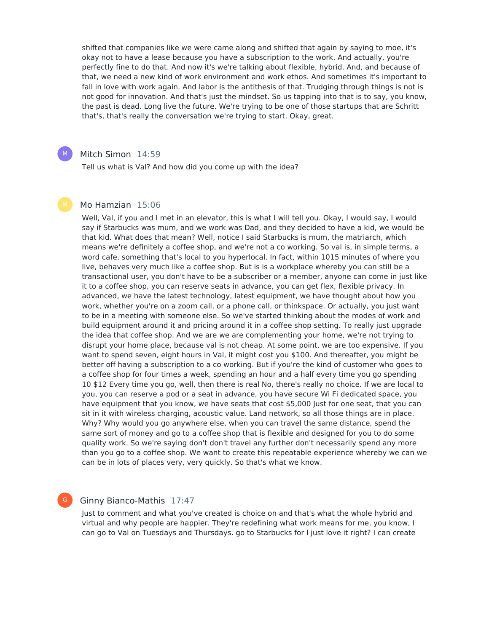shifted that companies like we were came along and shifted that again by saying to moe, it's okay not to have a lease because you have a subscription to the work. And actually, you're perfectly fine to do that. And now it's we're talking about flexible, hybrid. And, and because of that, we need a new kind of work environment and work ethos. And sometimes it's important to fall in love with work again. And labor is the antithesis of that. Trudging through things is not is not good for innovation. And that's just the mindset. So us tapping into that is to say, you know, the past is dead. Long live the future. We're trying to be one of those startups that are Schritt that's, that's really the conversation we're trying to start. Okay, great.

# Mitch Simon 14:59

 $M_{\odot}$ 

Tell us what is Val? And how did you come up with the idea?

#### Mo Hamzian 15:06

Well, Val, if you and I met in an elevator, this is what I will tell you. Okay, I would say, I would say if Starbucks was mum, and we work was Dad, and they decided to have a kid, we would be that kid. What does that mean? Well, notice I said Starbucks is mum, the matriarch, which means we're definitely a coffee shop, and we're not a co working. So val is, in simple terms, a word cafe, something that's local to you hyperlocal. In fact, within 1015 minutes of where you live, behaves very much like a coffee shop. But is is a workplace whereby you can still be a transactional user, you don't have to be a subscriber or a member, anyone can come in just like it to a coffee shop, you can reserve seats in advance, you can get flex, flexible privacy. In advanced, we have the latest technology, latest equipment, we have thought about how you work, whether you're on a zoom call, or a phone call, or thinkspace. Or actually, you just want to be in a meeting with someone else. So we've started thinking about the modes of work and build equipment around it and pricing around it in a coffee shop setting. To really just upgrade the idea that coffee shop. And we are we are complementing your home, we're not trying to disrupt your home place, because val is not cheap. At some point, we are too expensive. If you want to spend seven, eight hours in Val, it might cost you \$100. And thereafter, you might be better off having a subscription to a co working. But if you're the kind of customer who goes to a coffee shop for four times a week, spending an hour and a half every time you go spending 10 \$12 Every time you go, well, then there is real No, there's really no choice. If we are local to you, you can reserve a pod or a seat in advance, you have secure Wi Fi dedicated space, you have equipment that you know, we have seats that cost \$5,000 Just for one seat, that you can sit in it with wireless charging, acoustic value. Land network, so all those things are in place. Why? Why would you go anywhere else, when you can travel the same distance, spend the same sort of money and go to a coffee shop that is flexible and designed for you to do some quality work. So we're saying don't don't travel any further don't necessarily spend any more than you go to a coffee shop. We want to create this repeatable experience whereby we can we can be in lots of places very, very quickly. So that's what we know.

#### G

# Ginny Bianco-Mathis 17:47

Just to comment and what you've created is choice on and that's what the whole hybrid and virtual and why people are happier. They're redefining what work means for me, you know, I can go to Val on Tuesdays and Thursdays. go to Starbucks for I just love it right? I can create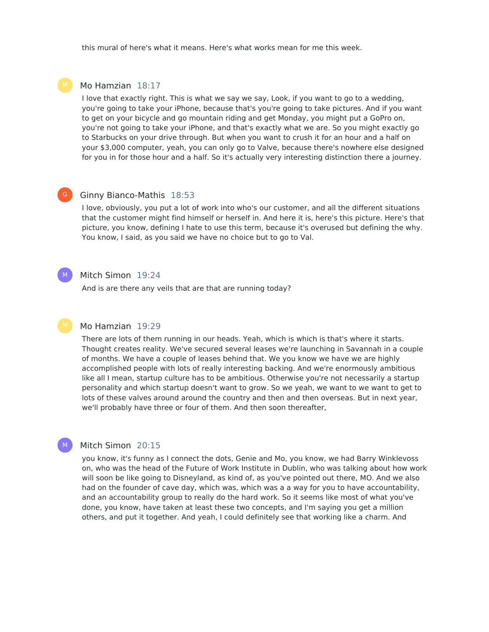this mural of here's what it means. Here's what works mean for me this week.

# Mo Hamzian 18:17

I love that exactly right. This is what we say we say, Look, if you want to go to a wedding, you're going to take your iPhone, because that's you're going to take pictures. And if you want to get on your bicycle and go mountain riding and get Monday, you might put a GoPro on, you're not going to take your iPhone, and that's exactly what we are. So you might exactly go to Starbucks on your drive through. But when you want to crush it for an hour and a half on your \$3,000 computer, yeah, you can only go to Valve, because there's nowhere else designed for you in for those hour and a half. So it's actually very interesting distinction there a journey.

#### Ginny Bianco-Mathis 18:53  $\mathsf{G}^-$

I love, obviously, you put a lot of work into who's our customer, and all the different situations that the customer might find himself or herself in. And here it is, here's this picture. Here's that picture, you know, defining I hate to use this term, because it's overused but defining the why. You know, I said, as you said we have no choice but to go to Val.

#### Mitch Simon 19:24

 $M_{\odot}$ 

M

And is are there any veils that are that are running today?

# Mo Hamzian 19:29

There are lots of them running in our heads. Yeah, which is which is that's where it starts. Thought creates reality. We've secured several leases we're launching in Savannah in a couple of months. We have a couple of leases behind that. We you know we have we are highly accomplished people with lots of really interesting backing. And we're enormously ambitious like all I mean, startup culture has to be ambitious. Otherwise you're not necessarily a startup personality and which startup doesn't want to grow. So we yeah, we want to we want to get to lots of these valves around around the country and then and then overseas. But in next year, we'll probably have three or four of them. And then soon thereafter,

# Mitch Simon 20:15

you know, it's funny as I connect the dots, Genie and Mo, you know, we had Barry Winklevoss on, who was the head of the Future of Work Institute in Dublin, who was talking about how work will soon be like going to Disneyland, as kind of, as you've pointed out there, MO. And we also had on the founder of cave day, which was, which was a a way for you to have accountability, and an accountability group to really do the hard work. So it seems like most of what you've done, you know, have taken at least these two concepts, and I'm saying you get a million others, and put it together. And yeah, I could definitely see that working like a charm. And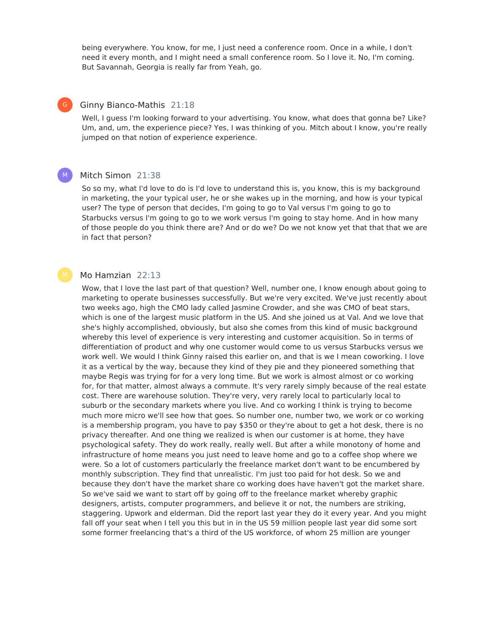being everywhere. You know, for me, I just need a conference room. Once in a while, I don't need it every month, and I might need a small conference room. So I love it. No, I'm coming. But Savannah, Georgia is really far from Yeah, go.

# Ginny Bianco-Mathis 21:18

 $G$ 

Well, I guess I'm looking forward to your advertising. You know, what does that gonna be? Like? Um, and, um, the experience piece? Yes, I was thinking of you. Mitch about I know, you're really jumped on that notion of experience experience.

#### Mitch Simon 21:38 M

So so my, what I'd love to do is I'd love to understand this is, you know, this is my background in marketing, the your typical user, he or she wakes up in the morning, and how is your typical user? The type of person that decides, I'm going to go to Val versus I'm going to go to Starbucks versus I'm going to go to we work versus I'm going to stay home. And in how many of those people do you think there are? And or do we? Do we not know yet that that that we are in fact that person?

# Mo Hamzian 22:13

Wow, that I love the last part of that question? Well, number one, I know enough about going to marketing to operate businesses successfully. But we're very excited. We've just recently about two weeks ago, high the CMO lady called Jasmine Crowder, and she was CMO of beat stars, which is one of the largest music platform in the US. And she joined us at Val. And we love that she's highly accomplished, obviously, but also she comes from this kind of music background whereby this level of experience is very interesting and customer acquisition. So in terms of differentiation of product and why one customer would come to us versus Starbucks versus we work well. We would I think Ginny raised this earlier on, and that is we I mean coworking. I love it as a vertical by the way, because they kind of they pie and they pioneered something that maybe Regis was trying for for a very long time. But we work is almost almost or co working for, for that matter, almost always a commute. It's very rarely simply because of the real estate cost. There are warehouse solution. They're very, very rarely local to particularly local to suburb or the secondary markets where you live. And co working I think is trying to become much more micro we'll see how that goes. So number one, number two, we work or co working is a membership program, you have to pay \$350 or they're about to get a hot desk, there is no privacy thereafter. And one thing we realized is when our customer is at home, they have psychological safety. They do work really, really well. But after a while monotony of home and infrastructure of home means you just need to leave home and go to a coffee shop where we were. So a lot of customers particularly the freelance market don't want to be encumbered by monthly subscription. They find that unrealistic. I'm just too paid for hot desk. So we and because they don't have the market share co working does have haven't got the market share. So we've said we want to start off by going off to the freelance market whereby graphic designers, artists, computer programmers, and believe it or not, the numbers are striking, staggering. Upwork and elderman. Did the report last year they do it every year. And you might fall off your seat when I tell you this but in in the US 59 million people last year did some sort some former freelancing that's a third of the US workforce, of whom 25 million are younger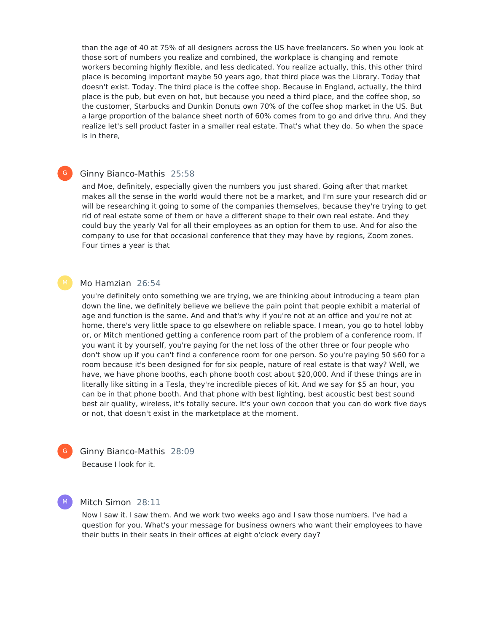than the age of 40 at 75% of all designers across the US have freelancers. So when you look at those sort of numbers you realize and combined, the workplace is changing and remote workers becoming highly flexible, and less dedicated. You realize actually, this, this other third place is becoming important maybe 50 years ago, that third place was the Library. Today that doesn't exist. Today. The third place is the coffee shop. Because in England, actually, the third place is the pub, but even on hot, but because you need a third place, and the coffee shop, so the customer, Starbucks and Dunkin Donuts own 70% of the coffee shop market in the US. But a large proportion of the balance sheet north of 60% comes from to go and drive thru. And they realize let's sell product faster in a smaller real estate. That's what they do. So when the space is in there,

# Ginny Bianco-Mathis 25:58

 $G$ 

and Moe, definitely, especially given the numbers you just shared. Going after that market makes all the sense in the world would there not be a market, and I'm sure your research did or will be researching it going to some of the companies themselves, because they're trying to get rid of real estate some of them or have a different shape to their own real estate. And they could buy the yearly Val for all their employees as an option for them to use. And for also the company to use for that occasional conference that they may have by regions, Zoom zones. Four times a year is that

# Mo Hamzian 26:54

you're definitely onto something we are trying, we are thinking about introducing a team plan down the line, we definitely believe we believe the pain point that people exhibit a material of age and function is the same. And and that's why if you're not at an office and you're not at home, there's very little space to go elsewhere on reliable space. I mean, you go to hotel lobby or, or Mitch mentioned getting a conference room part of the problem of a conference room. If you want it by yourself, you're paying for the net loss of the other three or four people who don't show up if you can't find a conference room for one person. So you're paying 50 \$60 for a room because it's been designed for for six people, nature of real estate is that way? Well, we have, we have phone booths, each phone booth cost about \$20,000. And if these things are in literally like sitting in a Tesla, they're incredible pieces of kit. And we say for \$5 an hour, you can be in that phone booth. And that phone with best lighting, best acoustic best best sound best air quality, wireless, it's totally secure. It's your own cocoon that you can do work five days or not, that doesn't exist in the marketplace at the moment.

Ginny Bianco-Mathis 28:09 Because I look for it.

#### M

 $\mathsf{G}^-$ 

Mitch Simon 28:11

Now I saw it. I saw them. And we work two weeks ago and I saw those numbers. I've had a question for you. What's your message for business owners who want their employees to have their butts in their seats in their offices at eight o'clock every day?